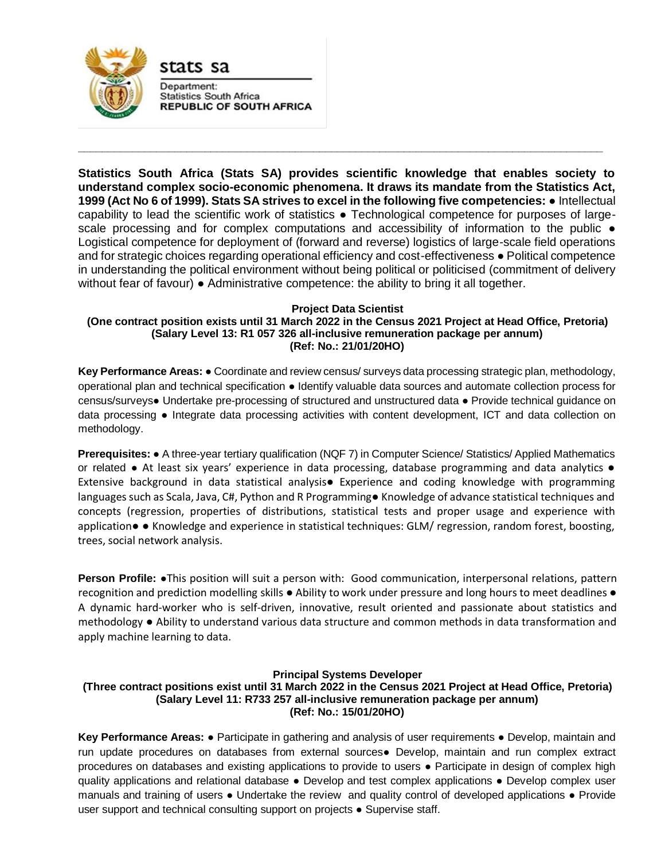

stats sa

Department: **Statistics South Africa REPUBLIC OF SOUTH AFRICA** 

**Statistics South Africa (Stats SA) provides scientific knowledge that enables society to understand complex socio-economic phenomena. It draws its mandate from the Statistics Act, 1999 (Act No 6 of 1999). Stats SA strives to excel in the following five competencies:** ● Intellectual capability to lead the scientific work of statistics ● Technological competence for purposes of largescale processing and for complex computations and accessibility of information to the public  $\bullet$ Logistical competence for deployment of (forward and reverse) logistics of large-scale field operations and for strategic choices regarding operational efficiency and cost-effectiveness ● Political competence in understanding the political environment without being political or politicised (commitment of delivery without fear of favour) ● Administrative competence: the ability to bring it all together.

**\_\_\_\_\_\_\_\_\_\_\_\_\_\_\_\_\_\_\_\_\_\_\_\_\_\_\_\_\_\_\_\_\_\_\_\_\_\_\_\_\_\_\_\_\_\_\_\_\_\_\_\_\_\_\_\_\_\_\_\_\_\_\_\_\_\_\_\_\_\_\_\_\_\_\_\_\_\_\_\_\_\_\_\_\_\_\_**

## **Project Data Scientist**

**(One contract position exists until 31 March 2022 in the Census 2021 Project at Head Office, Pretoria) (Salary Level 13: R1 057 326 all-inclusive remuneration package per annum) (Ref: No.: 21/01/20HO)**

**Key Performance Areas:** ● Coordinate and review census/ surveys data processing strategic plan, methodology, operational plan and technical specification ● Identify valuable data sources and automate collection process for census/surveys● Undertake pre-processing of structured and unstructured data ● Provide technical guidance on data processing ● Integrate data processing activities with content development, ICT and data collection on methodology.

**Prerequisites:** ● A three-year tertiary qualification (NQF 7) in Computer Science/ Statistics/ Applied Mathematics or related ● At least six years' experience in data processing, database programming and data analytics ● Extensive background in data statistical analysis● Experience and coding knowledge with programming languages such as Scala, Java, C#, Python and R Programming● Knowledge of advance statistical techniques and concepts (regression, properties of distributions, statistical tests and proper usage and experience with application● ● Knowledge and experience in statistical techniques: GLM/ regression, random forest, boosting, trees, social network analysis.

**Person Profile:** ●This position will suit a person with: Good communication, interpersonal relations, pattern recognition and prediction modelling skills ● Ability to work under pressure and long hours to meet deadlines ● A dynamic hard-worker who is self-driven, innovative, result oriented and passionate about statistics and methodology ● Ability to understand various data structure and common methods in data transformation and apply machine learning to data.

# **Principal Systems Developer**

## **(Three contract positions exist until 31 March 2022 in the Census 2021 Project at Head Office, Pretoria) (Salary Level 11: R733 257 all-inclusive remuneration package per annum) (Ref: No.: 15/01/20HO)**

**Key Performance Areas:** ● Participate in gathering and analysis of user requirements ● Develop, maintain and run update procedures on databases from external sources● Develop, maintain and run complex extract procedures on databases and existing applications to provide to users ● Participate in design of complex high quality applications and relational database ● Develop and test complex applications ● Develop complex user manuals and training of users ● Undertake the review and quality control of developed applications ● Provide user support and technical consulting support on projects • Supervise staff.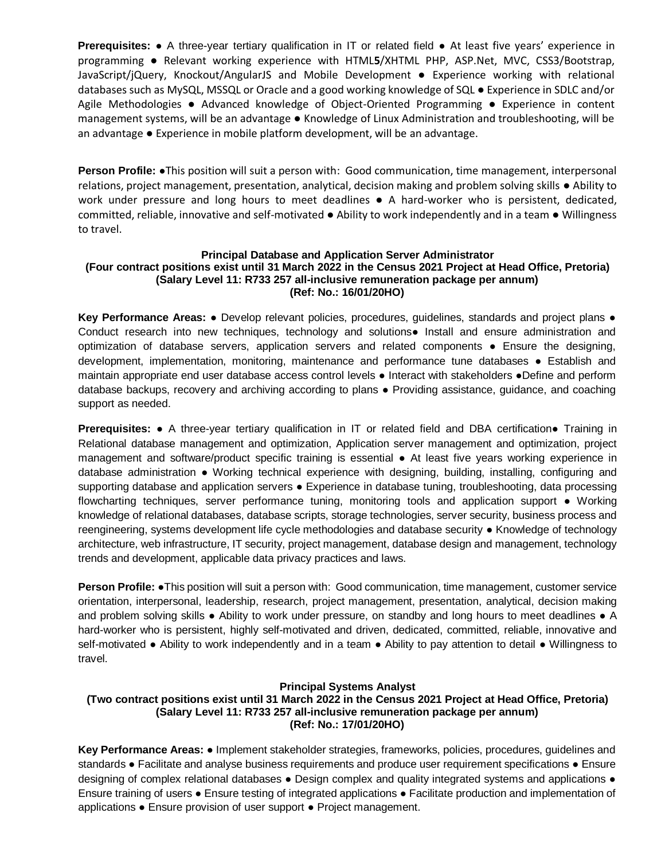**Prerequisites:** ● A three-year tertiary qualification in IT or related field ● At least five years' experience in programming ● Relevant working experience with HTML**5**/XHTML PHP, ASP.Net, MVC, CSS3/Bootstrap, JavaScript/jQuery, Knockout/AngularJS and Mobile Development ● Experience working with relational databases such as MySQL, MSSQL or Oracle and a good working knowledge of SQL ● Experience in SDLC and/or Agile Methodologies • Advanced knowledge of Object-Oriented Programming • Experience in content management systems, will be an advantage ● Knowledge of Linux Administration and troubleshooting, will be an advantage ● Experience in mobile platform development, will be an advantage.

**Person Profile:** ●This position will suit a person with: Good communication, time management, interpersonal relations, project management, presentation, analytical, decision making and problem solving skills ● Ability to work under pressure and long hours to meet deadlines • A hard-worker who is persistent, dedicated, committed, reliable, innovative and self-motivated ● Ability to work independently and in a team ● Willingness to travel.

### **Principal Database and Application Server Administrator (Four contract positions exist until 31 March 2022 in the Census 2021 Project at Head Office, Pretoria) (Salary Level 11: R733 257 all-inclusive remuneration package per annum) (Ref: No.: 16/01/20HO)**

**Key Performance Areas:** ● Develop relevant policies, procedures, guidelines, standards and project plans ● Conduct research into new techniques, technology and solutions● Install and ensure administration and optimization of database servers, application servers and related components ● Ensure the designing, development, implementation, monitoring, maintenance and performance tune databases ● Establish and maintain appropriate end user database access control levels ● Interact with stakeholders ●Define and perform database backups, recovery and archiving according to plans ● Providing assistance, guidance, and coaching support as needed.

**Prerequisites:** ● A three-year tertiary qualification in IT or related field and DBA certification● Training in Relational database management and optimization, Application server management and optimization, project management and software/product specific training is essential ● At least five years working experience in database administration ● Working technical experience with designing, building, installing, configuring and supporting database and application servers • Experience in database tuning, troubleshooting, data processing flowcharting techniques, server performance tuning, monitoring tools and application support • Working knowledge of relational databases, database scripts, storage technologies, server security, business process and reengineering, systems development life cycle methodologies and database security ● Knowledge of technology architecture, web infrastructure, IT security, project management, database design and management, technology trends and development, applicable data privacy practices and laws.

**Person Profile: ●This position will suit a person with: Good communication, time management, customer service** orientation, interpersonal, leadership, research, project management, presentation, analytical, decision making and problem solving skills • Ability to work under pressure, on standby and long hours to meet deadlines • A hard-worker who is persistent, highly self-motivated and driven, dedicated, committed, reliable, innovative and self-motivated • Ability to work independently and in a team • Ability to pay attention to detail • Willingness to travel.

# **Principal Systems Analyst**

# **(Two contract positions exist until 31 March 2022 in the Census 2021 Project at Head Office, Pretoria) (Salary Level 11: R733 257 all-inclusive remuneration package per annum) (Ref: No.: 17/01/20HO)**

**Key Performance Areas:** ● Implement stakeholder strategies, frameworks, policies, procedures, guidelines and standards ● Facilitate and analyse business requirements and produce user requirement specifications ● Ensure designing of complex relational databases ● Design complex and quality integrated systems and applications ● Ensure training of users ● Ensure testing of integrated applications ● Facilitate production and implementation of applications ● Ensure provision of user support ● Project management.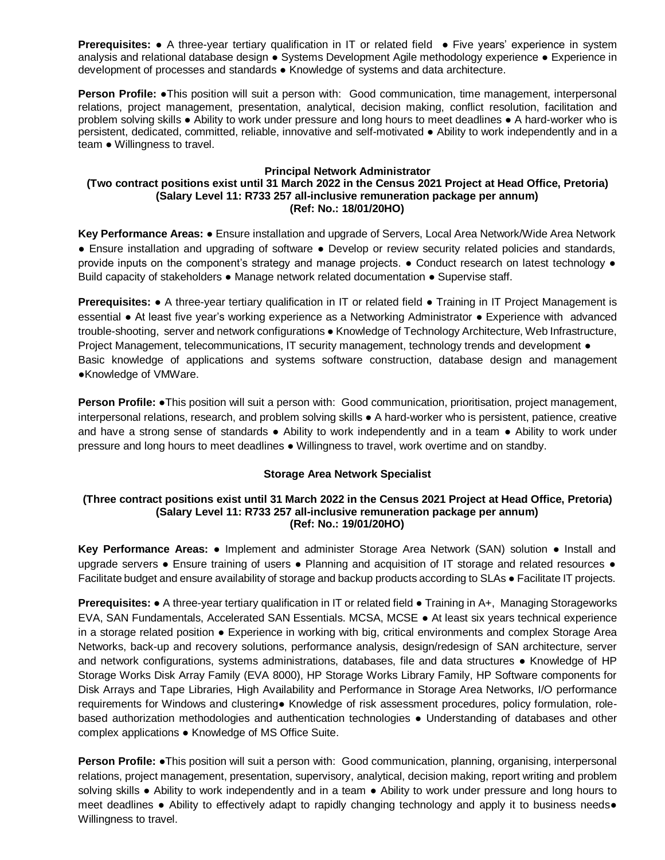**Prerequisites:** • A three-year tertiary qualification in IT or related field • Five years' experience in system analysis and relational database design ● Systems Development Agile methodology experience ● Experience in development of processes and standards ● Knowledge of systems and data architecture.

**Person Profile:** ●This position will suit a person with: Good communication, time management, interpersonal relations, project management, presentation, analytical, decision making, conflict resolution, facilitation and problem solving skills ● Ability to work under pressure and long hours to meet deadlines ● A hard-worker who is persistent, dedicated, committed, reliable, innovative and self-motivated ● Ability to work independently and in a team ● Willingness to travel.

#### **Principal Network Administrator**

## **(Two contract positions exist until 31 March 2022 in the Census 2021 Project at Head Office, Pretoria) (Salary Level 11: R733 257 all-inclusive remuneration package per annum) (Ref: No.: 18/01/20HO)**

**Key Performance Areas:** ● Ensure installation and upgrade of Servers, Local Area Network/Wide Area Network ● Ensure installation and upgrading of software ● Develop or review security related policies and standards, provide inputs on the component's strategy and manage projects. ● Conduct research on latest technology ● Build capacity of stakeholders • Manage network related documentation • Supervise staff.

**Prerequisites:** ● A three-year tertiary qualification in IT or related field ● Training in IT Project Management is essential ● At least five year's working experience as a Networking Administrator ● Experience with advanced trouble-shooting, server and network configurations ● Knowledge of Technology Architecture, Web Infrastructure, Project Management, telecommunications, IT security management, technology trends and development  $\bullet$ Basic knowledge of applications and systems software construction, database design and management ●Knowledge of VMWare.

**Person Profile:** ●This position will suit a person with: Good communication, prioritisation, project management, interpersonal relations, research, and problem solving skills ● A hard-worker who is persistent, patience, creative and have a strong sense of standards ● Ability to work independently and in a team ● Ability to work under pressure and long hours to meet deadlines ● Willingness to travel, work overtime and on standby.

# **Storage Area Network Specialist**

### **(Three contract positions exist until 31 March 2022 in the Census 2021 Project at Head Office, Pretoria) (Salary Level 11: R733 257 all-inclusive remuneration package per annum) (Ref: No.: 19/01/20HO)**

**Key Performance Areas:** ● Implement and administer Storage Area Network (SAN) solution ● Install and upgrade servers • Ensure training of users • Planning and acquisition of IT storage and related resources • Facilitate budget and ensure availability of storage and backup products according to SLAs ● Facilitate IT projects.

**Prerequisites:** ● A three-year tertiary qualification in IT or related field ● Training in A+, Managing Storageworks EVA, SAN Fundamentals, Accelerated SAN Essentials. MCSA, MCSE ● At least six years technical experience in a storage related position ● Experience in working with big, critical environments and complex Storage Area Networks, back-up and recovery solutions, performance analysis, design/redesign of SAN architecture, server and network configurations, systems administrations, databases, file and data structures • Knowledge of HP Storage Works Disk Array Family (EVA 8000), HP Storage Works Library Family, HP Software components for Disk Arrays and Tape Libraries, High Availability and Performance in Storage Area Networks, I/O performance requirements for Windows and clustering● Knowledge of risk assessment procedures, policy formulation, rolebased authorization methodologies and authentication technologies ● Understanding of databases and other complex applications ● Knowledge of MS Office Suite.

**Person Profile: ●This position will suit a person with: Good communication, planning, organising, interpersonal** relations, project management, presentation, supervisory, analytical, decision making, report writing and problem solving skills • Ability to work independently and in a team • Ability to work under pressure and long hours to meet deadlines ● Ability to effectively adapt to rapidly changing technology and apply it to business needs● Willingness to travel.